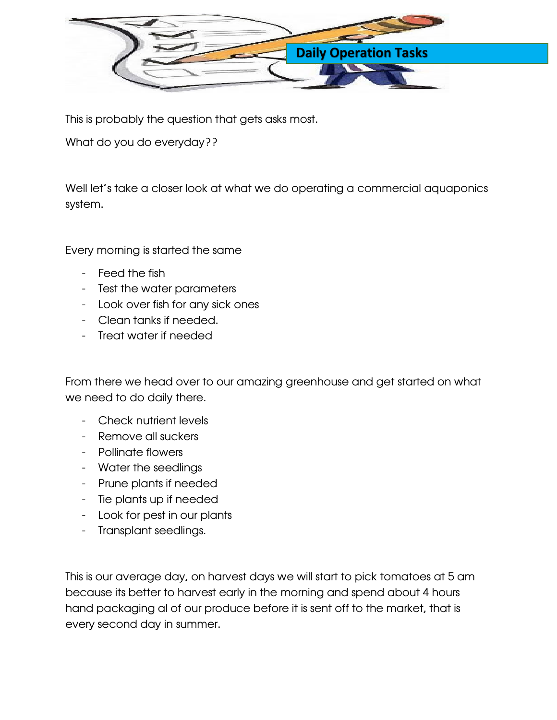

This is probably the question that gets asks most.

What do you do everyday??

Well let's take a closer look at what we do operating a commercial aquaponics system.

Every morning is started the same

- Feed the fish
- Test the water parameters
- Look over fish for any sick ones
- Clean tanks if needed.
- Treat water if needed

From there we head over to our amazing greenhouse and get started on what we need to do daily there.

- Check nutrient levels
- Remove all suckers
- Pollinate flowers
- Water the seedlings
- Prune plants if needed
- Tie plants up if needed
- Look for pest in our plants
- Transplant seedlings.

This is our average day, on harvest days we will start to pick tomatoes at 5 am because its better to harvest early in the morning and spend about 4 hours hand packaging al of our produce before it is sent off to the market, that is every second day in summer.